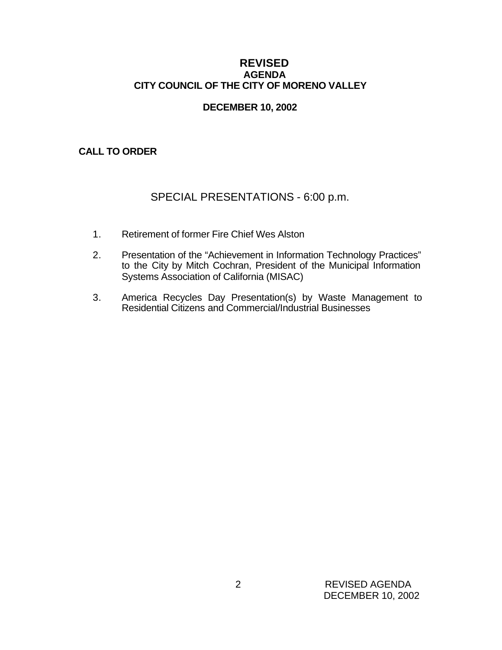# **REVISED AGENDA CITY COUNCIL OF THE CITY OF MORENO VALLEY**

# **DECEMBER 10, 2002**

# **CALL TO ORDER**

# SPECIAL PRESENTATIONS - 6:00 p.m.

- 1. Retirement of former Fire Chief Wes Alston
- 2. Presentation of the "Achievement in Information Technology Practices" to the City by Mitch Cochran, President of the Municipal Information Systems Association of California (MISAC)
- 3. America Recycles Day Presentation(s) by Waste Management to Residential Citizens and Commercial/Industrial Businesses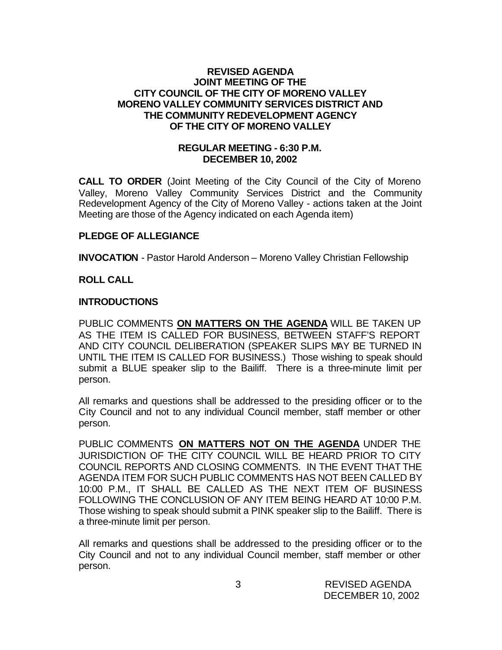# **REVISED AGENDA JOINT MEETING OF THE CITY COUNCIL OF THE CITY OF MORENO VALLEY MORENO VALLEY COMMUNITY SERVICES DISTRICT AND THE COMMUNITY REDEVELOPMENT AGENCY OF THE CITY OF MORENO VALLEY**

# **REGULAR MEETING - 6:30 P.M. DECEMBER 10, 2002**

**CALL TO ORDER** (Joint Meeting of the City Council of the City of Moreno Valley, Moreno Valley Community Services District and the Community Redevelopment Agency of the City of Moreno Valley - actions taken at the Joint Meeting are those of the Agency indicated on each Agenda item)

# **PLEDGE OF ALLEGIANCE**

**INVOCATION** - Pastor Harold Anderson – Moreno Valley Christian Fellowship

# **ROLL CALL**

# **INTRODUCTIONS**

PUBLIC COMMENTS **ON MATTERS ON THE AGENDA** WILL BE TAKEN UP AS THE ITEM IS CALLED FOR BUSINESS, BETWEEN STAFF'S REPORT AND CITY COUNCIL DELIBERATION (SPEAKER SLIPS MAY BE TURNED IN UNTIL THE ITEM IS CALLED FOR BUSINESS.) Those wishing to speak should submit a BLUE speaker slip to the Bailiff. There is a three-minute limit per person.

All remarks and questions shall be addressed to the presiding officer or to the City Council and not to any individual Council member, staff member or other person.

PUBLIC COMMENTS **ON MATTERS NOT ON THE AGENDA** UNDER THE JURISDICTION OF THE CITY COUNCIL WILL BE HEARD PRIOR TO CITY COUNCIL REPORTS AND CLOSING COMMENTS. IN THE EVENT THAT THE AGENDA ITEM FOR SUCH PUBLIC COMMENTS HAS NOT BEEN CALLED BY 10:00 P.M., IT SHALL BE CALLED AS THE NEXT ITEM OF BUSINESS FOLLOWING THE CONCLUSION OF ANY ITEM BEING HEARD AT 10:00 P.M. Those wishing to speak should submit a PINK speaker slip to the Bailiff. There is a three-minute limit per person.

All remarks and questions shall be addressed to the presiding officer or to the City Council and not to any individual Council member, staff member or other person.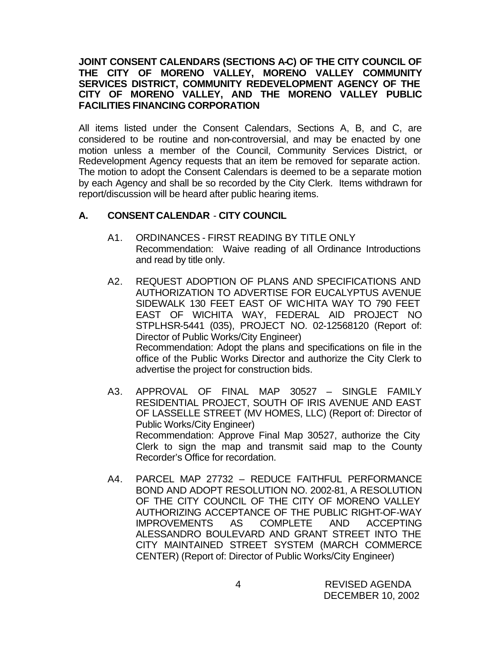# **JOINT CONSENT CALENDARS (SECTIONS A-C) OF THE CITY COUNCIL OF THE CITY OF MORENO VALLEY, MORENO VALLEY COMMUNITY SERVICES DISTRICT, COMMUNITY REDEVELOPMENT AGENCY OF THE CITY OF MORENO VALLEY, AND THE MORENO VALLEY PUBLIC FACILITIES FINANCING CORPORATION**

All items listed under the Consent Calendars, Sections A, B, and C, are considered to be routine and non-controversial, and may be enacted by one motion unless a member of the Council, Community Services District, or Redevelopment Agency requests that an item be removed for separate action. The motion to adopt the Consent Calendars is deemed to be a separate motion by each Agency and shall be so recorded by the City Clerk. Items withdrawn for report/discussion will be heard after public hearing items.

# **A. CONSENT CALENDAR** - **CITY COUNCIL**

- A1. ORDINANCES FIRST READING BY TITLE ONLY Recommendation: Waive reading of all Ordinance Introductions and read by title only.
- A2. REQUEST ADOPTION OF PLANS AND SPECIFICATIONS AND AUTHORIZATION TO ADVERTISE FOR EUCALYPTUS AVENUE SIDEWALK 130 FEET EAST OF WICHITA WAY TO 790 FEET EAST OF WICHITA WAY, FEDERAL AID PROJECT NO STPLHSR-5441 (035), PROJECT NO. 02-12568120 (Report of: Director of Public Works/City Engineer) Recommendation: Adopt the plans and specifications on file in the office of the Public Works Director and authorize the City Clerk to advertise the project for construction bids.
- A3. APPROVAL OF FINAL MAP 30527 SINGLE FAMILY RESIDENTIAL PROJECT, SOUTH OF IRIS AVENUE AND EAST OF LASSELLE STREET (MV HOMES, LLC) (Report of: Director of Public Works/City Engineer) Recommendation: Approve Final Map 30527, authorize the City Clerk to sign the map and transmit said map to the County Recorder's Office for recordation.
- A4. PARCEL MAP 27732 REDUCE FAITHFUL PERFORMANCE BOND AND ADOPT RESOLUTION NO. 2002-81, A RESOLUTION OF THE CITY COUNCIL OF THE CITY OF MORENO VALLEY AUTHORIZING ACCEPTANCE OF THE PUBLIC RIGHT-OF-WAY IMPROVEMENTS AS COMPLETE AND ACCEPTING ALESSANDRO BOULEVARD AND GRANT STREET INTO THE CITY MAINTAINED STREET SYSTEM (MARCH COMMERCE CENTER) (Report of: Director of Public Works/City Engineer)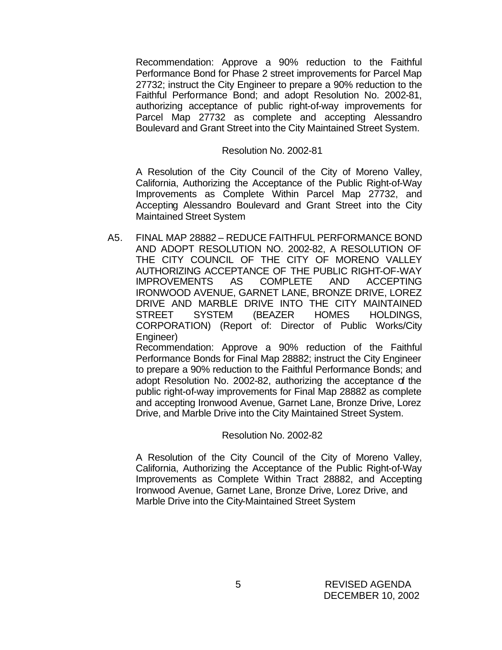Recommendation: Approve a 90% reduction to the Faithful Performance Bond for Phase 2 street improvements for Parcel Map 27732; instruct the City Engineer to prepare a 90% reduction to the Faithful Performance Bond; and adopt Resolution No. 2002-81, authorizing acceptance of public right-of-way improvements for Parcel Map 27732 as complete and accepting Alessandro Boulevard and Grant Street into the City Maintained Street System.

#### Resolution No. 2002-81

A Resolution of the City Council of the City of Moreno Valley, California, Authorizing the Acceptance of the Public Right-of-Way Improvements as Complete Within Parcel Map 27732, and Accepting Alessandro Boulevard and Grant Street into the City Maintained Street System

A5. FINAL MAP 28882 – REDUCE FAITHFUL PERFORMANCE BOND AND ADOPT RESOLUTION NO. 2002-82, A RESOLUTION OF THE CITY COUNCIL OF THE CITY OF MORENO VALLEY AUTHORIZING ACCEPTANCE OF THE PUBLIC RIGHT-OF-WAY IMPROVEMENTS AS COMPLETE AND ACCEPTING IRONWOOD AVENUE, GARNET LANE, BRONZE DRIVE, LOREZ DRIVE AND MARBLE DRIVE INTO THE CITY MAINTAINED STREET SYSTEM (BEAZER HOMES HOLDINGS, CORPORATION) (Report of: Director of Public Works/City Engineer)

Recommendation: Approve a 90% reduction of the Faithful Performance Bonds for Final Map 28882; instruct the City Engineer to prepare a 90% reduction to the Faithful Performance Bonds; and adopt Resolution No. 2002-82, authorizing the acceptance of the public right-of-way improvements for Final Map 28882 as complete and accepting Ironwood Avenue, Garnet Lane, Bronze Drive, Lorez Drive, and Marble Drive into the City Maintained Street System.

#### Resolution No. 2002-82

A Resolution of the City Council of the City of Moreno Valley, California, Authorizing the Acceptance of the Public Right-of-Way Improvements as Complete Within Tract 28882, and Accepting Ironwood Avenue, Garnet Lane, Bronze Drive, Lorez Drive, and Marble Drive into the City-Maintained Street System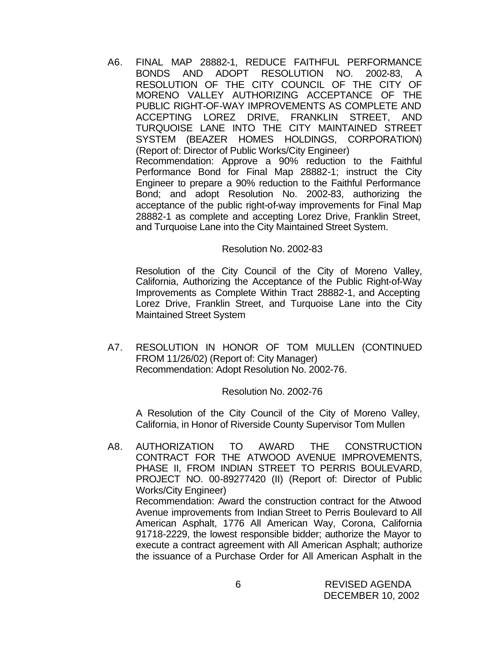A6. FINAL MAP 28882-1, REDUCE FAITHFUL PERFORMANCE BONDS AND ADOPT RESOLUTION NO. 2002-83, A RESOLUTION OF THE CITY COUNCIL OF THE CITY OF MORENO VALLEY AUTHORIZING ACCEPTANCE OF THE PUBLIC RIGHT-OF-WAY IMPROVEMENTS AS COMPLETE AND ACCEPTING LOREZ DRIVE, FRANKLIN STREET, AND TURQUOISE LANE INTO THE CITY MAINTAINED STREET SYSTEM (BEAZER HOMES HOLDINGS, CORPORATION) (Report of: Director of Public Works/City Engineer) Recommendation: Approve a 90% reduction to the Faithful Performance Bond for Final Map 28882-1; instruct the City Engineer to prepare a 90% reduction to the Faithful Performance Bond; and adopt Resolution No. 2002-83, authorizing the acceptance of the public right-of-way improvements for Final Map 28882-1 as complete and accepting Lorez Drive, Franklin Street, and Turquoise Lane into the City Maintained Street System.

### Resolution No. 2002-83

Resolution of the City Council of the City of Moreno Valley, California, Authorizing the Acceptance of the Public Right-of-Way Improvements as Complete Within Tract 28882-1, and Accepting Lorez Drive, Franklin Street, and Turquoise Lane into the City Maintained Street System

A7. RESOLUTION IN HONOR OF TOM MULLEN (CONTINUED FROM 11/26/02) (Report of: City Manager) Recommendation: Adopt Resolution No. 2002-76.

#### Resolution No. 2002-76

A Resolution of the City Council of the City of Moreno Valley, California, in Honor of Riverside County Supervisor Tom Mullen

A8. AUTHORIZATION TO AWARD THE CONSTRUCTION CONTRACT FOR THE ATWOOD AVENUE IMPROVEMENTS, PHASE II, FROM INDIAN STREET TO PERRIS BOULEVARD, PROJECT NO. 00-89277420 (II) (Report of: Director of Public Works/City Engineer) Recommendation: Award the construction contract for the Atwood Avenue improvements from Indian Street to Perris Boulevard to All American Asphalt, 1776 All American Way, Corona, California 91718-2229, the lowest responsible bidder; authorize the Mayor to execute a contract agreement with All American Asphalt; authorize the issuance of a Purchase Order for All American Asphalt in the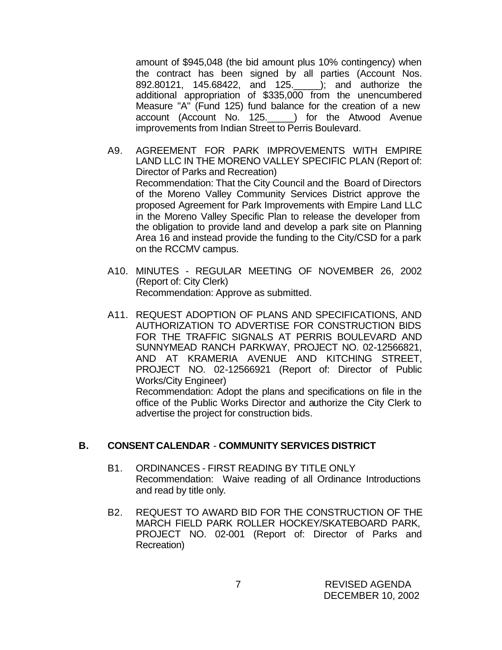amount of \$945,048 (the bid amount plus 10% contingency) when the contract has been signed by all parties (Account Nos. 892.80121, 145.68422, and 125.\_\_\_\_\_); and authorize the additional appropriation of \$335,000 from the unencumbered Measure "A" (Fund 125) fund balance for the creation of a new account (Account No. 125.\_\_\_\_\_) for the Atwood Avenue improvements from Indian Street to Perris Boulevard.

- A9. AGREEMENT FOR PARK IMPROVEMENTS WITH EMPIRE LAND LLC IN THE MORENO VALLEY SPECIFIC PLAN (Report of: Director of Parks and Recreation) Recommendation: That the City Council and the Board of Directors of the Moreno Valley Community Services District approve the proposed Agreement for Park Improvements with Empire Land LLC in the Moreno Valley Specific Plan to release the developer from the obligation to provide land and develop a park site on Planning Area 16 and instead provide the funding to the City/CSD for a park on the RCCMV campus.
- A10. MINUTES REGULAR MEETING OF NOVEMBER 26, 2002 (Report of: City Clerk) Recommendation: Approve as submitted.
- A11. REQUEST ADOPTION OF PLANS AND SPECIFICATIONS, AND AUTHORIZATION TO ADVERTISE FOR CONSTRUCTION BIDS FOR THE TRAFFIC SIGNALS AT PERRIS BOULEVARD AND SUNNYMEAD RANCH PARKWAY, PROJECT NO. 02-12566821, AND AT KRAMERIA AVENUE AND KITCHING STREET, PROJECT NO. 02-12566921 (Report of: Director of Public Works/City Engineer)

Recommendation: Adopt the plans and specifications on file in the office of the Public Works Director and authorize the City Clerk to advertise the project for construction bids.

### **B. CONSENT CALENDAR** - **COMMUNITY SERVICES DISTRICT**

- B1. ORDINANCES FIRST READING BY TITLE ONLY Recommendation: Waive reading of all Ordinance Introductions and read by title only.
- B2. REQUEST TO AWARD BID FOR THE CONSTRUCTION OF THE MARCH FIELD PARK ROLLER HOCKEY/SKATEBOARD PARK, PROJECT NO. 02-001 (Report of: Director of Parks and Recreation)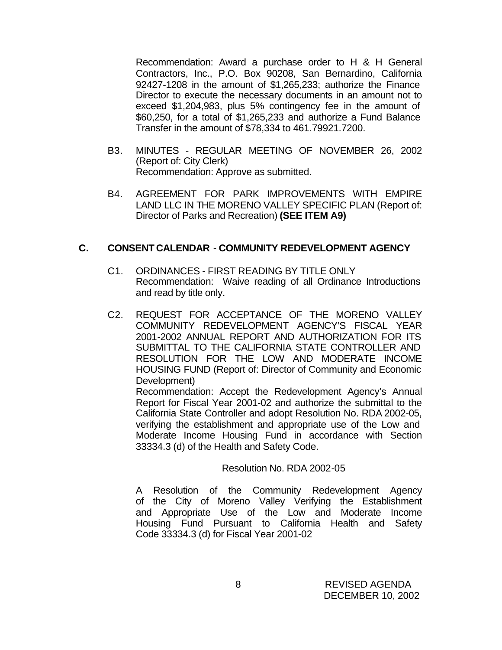Recommendation: Award a purchase order to H & H General Contractors, Inc., P.O. Box 90208, San Bernardino, California 92427-1208 in the amount of \$1,265,233; authorize the Finance Director to execute the necessary documents in an amount not to exceed \$1,204,983, plus 5% contingency fee in the amount of \$60,250, for a total of \$1,265,233 and authorize a Fund Balance Transfer in the amount of \$78,334 to 461.79921.7200.

- B3. MINUTES REGULAR MEETING OF NOVEMBER 26, 2002 (Report of: City Clerk) Recommendation: Approve as submitted.
- B4. AGREEMENT FOR PARK IMPROVEMENTS WITH EMPIRE LAND LLC IN THE MORENO VALLEY SPECIFIC PLAN (Report of: Director of Parks and Recreation) **(SEE ITEM A9)**

# **C. CONSENT CALENDAR** - **COMMUNITY REDEVELOPMENT AGENCY**

- C1. ORDINANCES FIRST READING BY TITLE ONLY Recommendation: Waive reading of all Ordinance Introductions and read by title only.
- C2. REQUEST FOR ACCEPTANCE OF THE MORENO VALLEY COMMUNITY REDEVELOPMENT AGENCY'S FISCAL YEAR 2001-2002 ANNUAL REPORT AND AUTHORIZATION FOR ITS SUBMITTAL TO THE CALIFORNIA STATE CONTROLLER AND RESOLUTION FOR THE LOW AND MODERATE INCOME HOUSING FUND (Report of: Director of Community and Economic Development)

Recommendation: Accept the Redevelopment Agency's Annual Report for Fiscal Year 2001-02 and authorize the submittal to the California State Controller and adopt Resolution No. RDA 2002-05, verifying the establishment and appropriate use of the Low and Moderate Income Housing Fund in accordance with Section 33334.3 (d) of the Health and Safety Code.

#### Resolution No. RDA 2002-05

A Resolution of the Community Redevelopment Agency of the City of Moreno Valley Verifying the Establishment and Appropriate Use of the Low and Moderate Income Housing Fund Pursuant to California Health and Safety Code 33334.3 (d) for Fiscal Year 2001-02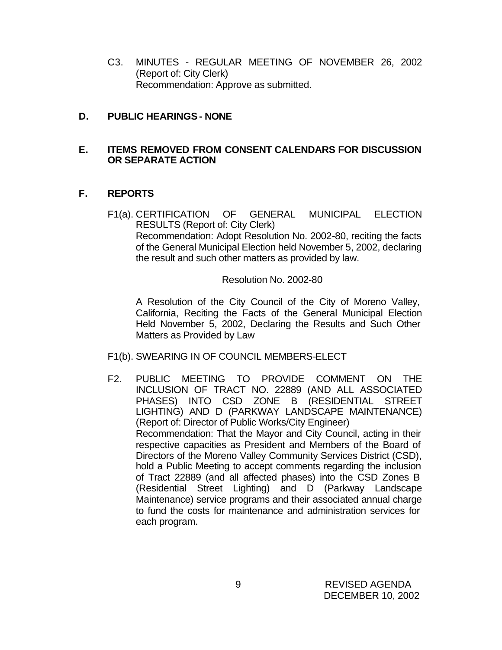C3. MINUTES - REGULAR MEETING OF NOVEMBER 26, 2002 (Report of: City Clerk) Recommendation: Approve as submitted.

# **D. PUBLIC HEARINGS - NONE**

# **E. ITEMS REMOVED FROM CONSENT CALENDARS FOR DISCUSSION OR SEPARATE ACTION**

# **F. REPORTS**

F1(a). CERTIFICATION OF GENERAL MUNICIPAL ELECTION RESULTS (Report of: City Clerk) Recommendation: Adopt Resolution No. 2002-80, reciting the facts of the General Municipal Election held November 5, 2002, declaring the result and such other matters as provided by law.

Resolution No. 2002-80

A Resolution of the City Council of the City of Moreno Valley, California, Reciting the Facts of the General Municipal Election Held November 5, 2002, Declaring the Results and Such Other Matters as Provided by Law

- F1(b). SWEARING IN OF COUNCIL MEMBERS-ELECT
- F2. PUBLIC MEETING TO PROVIDE COMMENT ON THE INCLUSION OF TRACT NO. 22889 (AND ALL ASSOCIATED PHASES) INTO CSD ZONE B (RESIDENTIAL STREET LIGHTING) AND D (PARKWAY LANDSCAPE MAINTENANCE) (Report of: Director of Public Works/City Engineer) Recommendation: That the Mayor and City Council, acting in their respective capacities as President and Members of the Board of Directors of the Moreno Valley Community Services District (CSD), hold a Public Meeting to accept comments regarding the inclusion of Tract 22889 (and all affected phases) into the CSD Zones B (Residential Street Lighting) and D (Parkway Landscape Maintenance) service programs and their associated annual charge to fund the costs for maintenance and administration services for each program.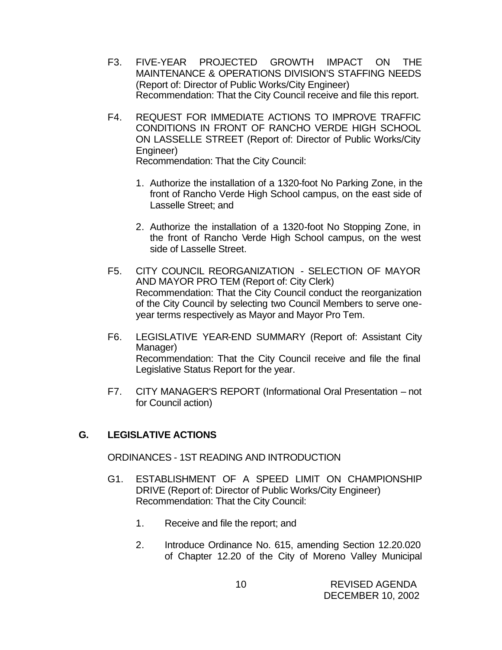- F3. FIVE-YEAR PROJECTED GROWTH IMPACT ON THE MAINTENANCE & OPERATIONS DIVISION'S STAFFING NEEDS (Report of: Director of Public Works/City Engineer) Recommendation: That the City Council receive and file this report.
- F4. REQUEST FOR IMMEDIATE ACTIONS TO IMPROVE TRAFFIC CONDITIONS IN FRONT OF RANCHO VERDE HIGH SCHOOL ON LASSELLE STREET (Report of: Director of Public Works/City Engineer) Recommendation: That the City Council:
	- 1. Authorize the installation of a 1320-foot No Parking Zone, in the front of Rancho Verde High School campus, on the east side of Lasselle Street; and
	- 2. Authorize the installation of a 1320-foot No Stopping Zone, in the front of Rancho Verde High School campus, on the west side of Lasselle Street.
- F5. CITY COUNCIL REORGANIZATION SELECTION OF MAYOR AND MAYOR PRO TEM (Report of: City Clerk) Recommendation: That the City Council conduct the reorganization of the City Council by selecting two Council Members to serve oneyear terms respectively as Mayor and Mayor Pro Tem.
- F6. LEGISLATIVE YEAR-END SUMMARY (Report of: Assistant City Manager) Recommendation: That the City Council receive and file the final Legislative Status Report for the year.
- F7. CITY MANAGER'S REPORT (Informational Oral Presentation not for Council action)

# **G. LEGISLATIVE ACTIONS**

ORDINANCES - 1ST READING AND INTRODUCTION

- G1. ESTABLISHMENT OF A SPEED LIMIT ON CHAMPIONSHIP DRIVE (Report of: Director of Public Works/City Engineer) Recommendation: That the City Council:
	- 1. Receive and file the report; and
	- 2. Introduce Ordinance No. 615, amending Section 12.20.020 of Chapter 12.20 of the City of Moreno Valley Municipal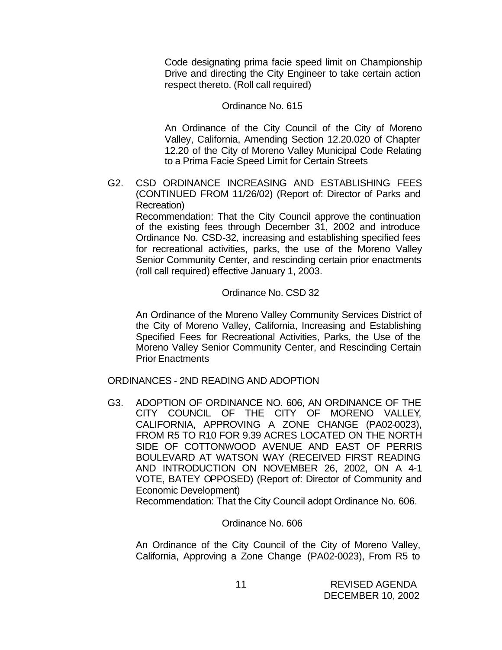Code designating prima facie speed limit on Championship Drive and directing the City Engineer to take certain action respect thereto. (Roll call required)

### Ordinance No. 615

 An Ordinance of the City Council of the City of Moreno Valley, California, Amending Section 12.20.020 of Chapter 12.20 of the City of Moreno Valley Municipal Code Relating to a Prima Facie Speed Limit for Certain Streets

G2. CSD ORDINANCE INCREASING AND ESTABLISHING FEES (CONTINUED FROM 11/26/02) (Report of: Director of Parks and Recreation)

Recommendation: That the City Council approve the continuation of the existing fees through December 31, 2002 and introduce Ordinance No. CSD-32, increasing and establishing specified fees for recreational activities, parks, the use of the Moreno Valley Senior Community Center, and rescinding certain prior enactments (roll call required) effective January 1, 2003.

#### Ordinance No. CSD 32

An Ordinance of the Moreno Valley Community Services District of the City of Moreno Valley, California, Increasing and Establishing Specified Fees for Recreational Activities, Parks, the Use of the Moreno Valley Senior Community Center, and Rescinding Certain Prior Enactments

ORDINANCES - 2ND READING AND ADOPTION

G3. ADOPTION OF ORDINANCE NO. 606, AN ORDINANCE OF THE CITY COUNCIL OF THE CITY OF MORENO VALLEY, CALIFORNIA, APPROVING A ZONE CHANGE (PA02-0023), FROM R5 TO R10 FOR 9.39 ACRES LOCATED ON THE NORTH SIDE OF COTTONWOOD AVENUE AND EAST OF PERRIS BOULEVARD AT WATSON WAY (RECEIVED FIRST READING AND INTRODUCTION ON NOVEMBER 26, 2002, ON A 4-1 VOTE, BATEY OPPOSED) (Report of: Director of Community and Economic Development) Recommendation: That the City Council adopt Ordinance No. 606.

Ordinance No. 606

An Ordinance of the City Council of the City of Moreno Valley, California, Approving a Zone Change (PA02-0023), From R5 to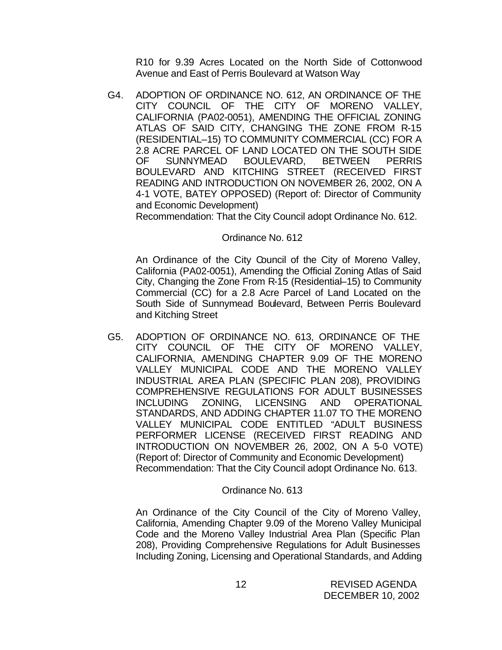R10 for 9.39 Acres Located on the North Side of Cottonwood Avenue and East of Perris Boulevard at Watson Way

G4. ADOPTION OF ORDINANCE NO. 612, AN ORDINANCE OF THE CITY COUNCIL OF THE CITY OF MORENO VALLEY, CALIFORNIA (PA02-0051), AMENDING THE OFFICIAL ZONING ATLAS OF SAID CITY, CHANGING THE ZONE FROM R-15 (RESIDENTIAL–15) TO COMMUNITY COMMERCIAL (CC) FOR A 2.8 ACRE PARCEL OF LAND LOCATED ON THE SOUTH SIDE OF SUNNYMEAD BOULEVARD, BETWEEN PERRIS BOULEVARD AND KITCHING STREET (RECEIVED FIRST READING AND INTRODUCTION ON NOVEMBER 26, 2002, ON A 4-1 VOTE, BATEY OPPOSED) (Report of: Director of Community and Economic Development)

Recommendation: That the City Council adopt Ordinance No. 612.

### Ordinance No. 612

An Ordinance of the City Council of the City of Moreno Valley, California (PA02-0051), Amending the Official Zoning Atlas of Said City, Changing the Zone From R-15 (Residential–15) to Community Commercial (CC) for a 2.8 Acre Parcel of Land Located on the South Side of Sunnymead Boulevard, Between Perris Boulevard and Kitching Street

G5. ADOPTION OF ORDINANCE NO. 613, ORDINANCE OF THE CITY COUNCIL OF THE CITY OF MORENO VALLEY, CALIFORNIA, AMENDING CHAPTER 9.09 OF THE MORENO VALLEY MUNICIPAL CODE AND THE MORENO VALLEY INDUSTRIAL AREA PLAN (SPECIFIC PLAN 208), PROVIDING COMPREHENSIVE REGULATIONS FOR ADULT BUSINESSES INCLUDING ZONING, LICENSING AND OPERATIONAL STANDARDS, AND ADDING CHAPTER 11.07 TO THE MORENO VALLEY MUNICIPAL CODE ENTITLED "ADULT BUSINESS PERFORMER LICENSE (RECEIVED FIRST READING AND INTRODUCTION ON NOVEMBER 26, 2002, ON A 5-0 VOTE) (Report of: Director of Community and Economic Development) Recommendation: That the City Council adopt Ordinance No. 613.

#### Ordinance No. 613

An Ordinance of the City Council of the City of Moreno Valley, California, Amending Chapter 9.09 of the Moreno Valley Municipal Code and the Moreno Valley Industrial Area Plan (Specific Plan 208), Providing Comprehensive Regulations for Adult Businesses Including Zoning, Licensing and Operational Standards, and Adding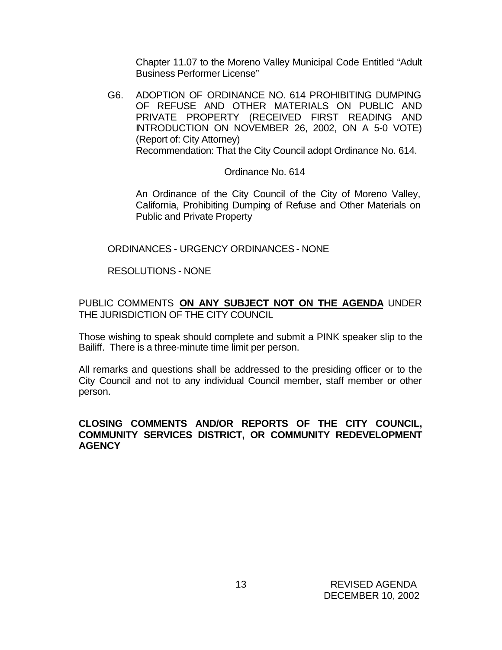Chapter 11.07 to the Moreno Valley Municipal Code Entitled "Adult Business Performer License"

G6. ADOPTION OF ORDINANCE NO. 614 PROHIBITING DUMPING OF REFUSE AND OTHER MATERIALS ON PUBLIC AND PRIVATE PROPERTY (RECEIVED FIRST READING AND INTRODUCTION ON NOVEMBER 26, 2002, ON A 5-0 VOTE) (Report of: City Attorney) Recommendation: That the City Council adopt Ordinance No. 614.

### Ordinance No. 614

An Ordinance of the City Council of the City of Moreno Valley, California, Prohibiting Dumping of Refuse and Other Materials on Public and Private Property

# ORDINANCES - URGENCY ORDINANCES - NONE

# RESOLUTIONS - NONE

# PUBLIC COMMENTS **ON ANY SUBJECT NOT ON THE AGENDA** UNDER THE JURISDICTION OF THE CITY COUNCIL

Those wishing to speak should complete and submit a PINK speaker slip to the Bailiff. There is a three-minute time limit per person.

All remarks and questions shall be addressed to the presiding officer or to the City Council and not to any individual Council member, staff member or other person.

## **CLOSING COMMENTS AND/OR REPORTS OF THE CITY COUNCIL, COMMUNITY SERVICES DISTRICT, OR COMMUNITY REDEVELOPMENT AGENCY**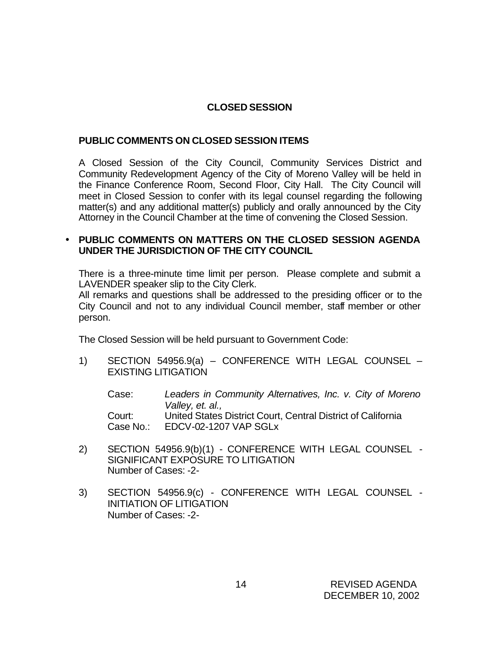# **CLOSED SESSION**

# **PUBLIC COMMENTS ON CLOSED SESSION ITEMS**

A Closed Session of the City Council, Community Services District and Community Redevelopment Agency of the City of Moreno Valley will be held in the Finance Conference Room, Second Floor, City Hall. The City Council will meet in Closed Session to confer with its legal counsel regarding the following matter(s) and any additional matter(s) publicly and orally announced by the City Attorney in the Council Chamber at the time of convening the Closed Session.

# • **PUBLIC COMMENTS ON MATTERS ON THE CLOSED SESSION AGENDA UNDER THE JURISDICTION OF THE CITY COUNCIL**

There is a three-minute time limit per person. Please complete and submit a LAVENDER speaker slip to the City Clerk.

All remarks and questions shall be addressed to the presiding officer or to the City Council and not to any individual Council member, staff member or other person.

The Closed Session will be held pursuant to Government Code:

1) SECTION 54956.9(a) – CONFERENCE WITH LEGAL COUNSEL – EXISTING LITIGATION

Case: *Leaders in Community Alternatives, Inc. v. City of Moreno Valley, et. al.,* Court: United States District Court, Central District of California Case No.: EDCV-02-1207 VAP SGLx

- 2) SECTION 54956.9(b)(1) CONFERENCE WITH LEGAL COUNSEL SIGNIFICANT EXPOSURE TO LITIGATION Number of Cases: -2-
- 3) SECTION 54956.9(c) CONFERENCE WITH LEGAL COUNSEL INITIATION OF LITIGATION Number of Cases: -2-